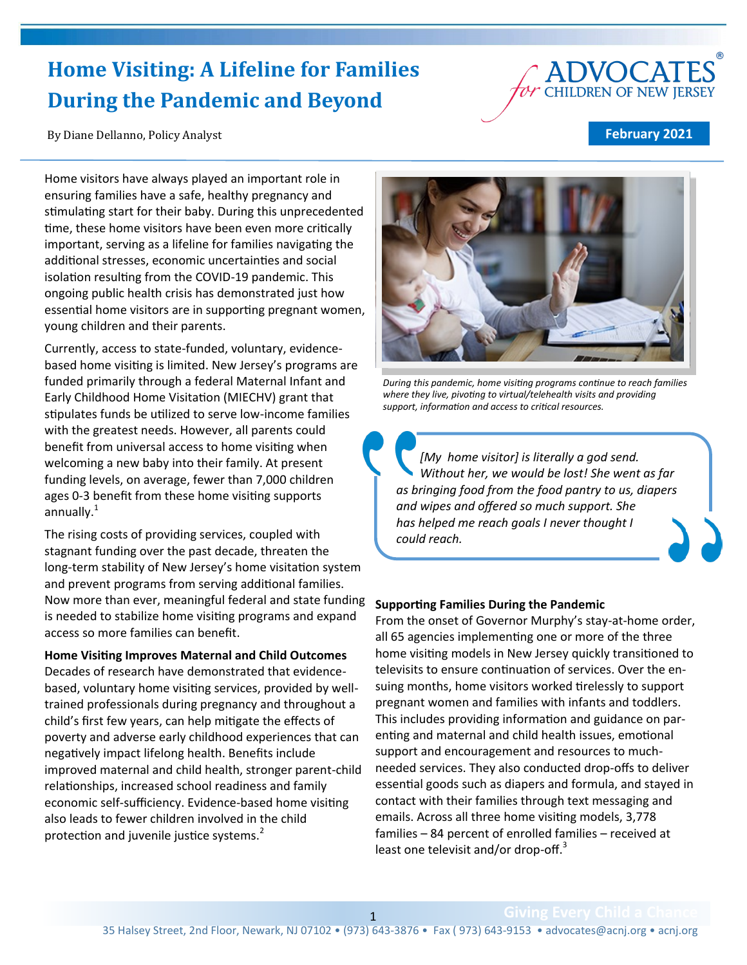# **Home Visiting: A Lifeline for Families During the Pandemic and Beyond**

By Diane Dellanno, Policy Analyst

#### **February 2021**

**DVOCATES** 

Home visitors have always played an important role in ensuring families have a safe, healthy pregnancy and stimulating start for their baby. During this unprecedented time, these home visitors have been even more critically important, serving as a lifeline for families navigating the additional stresses, economic uncertainties and social isolation resulting from the COVID-19 pandemic. This ongoing public health crisis has demonstrated just how essential home visitors are in supporting pregnant women, young children and their parents.

Currently, access to state-funded, voluntary, evidencebased home visiting is limited. New Jersey's programs are funded primarily through a federal Maternal Infant and Early Childhood Home Visitation (MIECHV) grant that stipulates funds be utilized to serve low-income families with the greatest needs. However, all parents could benefit from universal access to home visiting when welcoming a new baby into their family. At present funding levels, on average, fewer than 7,000 children ages 0-3 benefit from these home visiting supports annually. $1$ 

The rising costs of providing services, coupled with stagnant funding over the past decade, threaten the long-term stability of New Jersey's home visitation system and prevent programs from serving additional families. Now more than ever, meaningful federal and state funding is needed to stabilize home visiting programs and expand access so more families can benefit.

**Home Visiting Improves Maternal and Child Outcomes** Decades of research have demonstrated that evidencebased, voluntary home visiting services, provided by welltrained professionals during pregnancy and throughout a child's first few years, can help mitigate the effects of poverty and adverse early childhood experiences that can negatively impact lifelong health. Benefits include improved maternal and child health, stronger parent-child relationships, increased school readiness and family economic self-sufficiency. Evidence-based home visiting also leads to fewer children involved in the child protection and juvenile justice systems.<sup>2</sup>



*During this pandemic, home visiting programs continue to reach families where they live, pivoting to virtual/telehealth visits and providing support, information and access to critical resources.*

*[My home visitor] is literally a god send. Without her, we would be lost! She went as far as bringing food from the food pantry to us, diapers and wipes and offered so much support. She has helped me reach goals I never thought I could reach.*

#### **Supporting Families During the Pandemic**

From the onset of Governor Murphy's stay-at-home order, all 65 agencies implementing one or more of the three home visiting models in New Jersey quickly transitioned to televisits to ensure continuation of services. Over the ensuing months, home visitors worked tirelessly to support pregnant women and families with infants and toddlers. This includes providing information and guidance on parenting and maternal and child health issues, emotional support and encouragement and resources to muchneeded services. They also conducted drop-offs to deliver essential goods such as diapers and formula, and stayed in contact with their families through text messaging and emails. Across all three home visiting models, 3,778 families – 84 percent of enrolled families – received at least one televisit and/or drop-off.<sup>3</sup>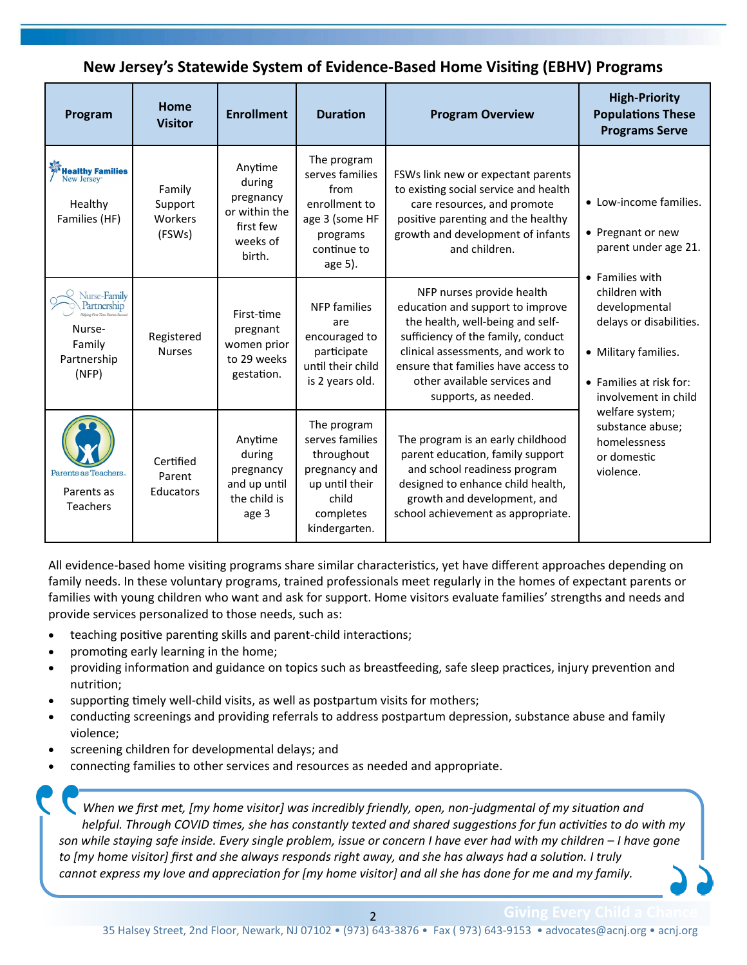# **New Jersey's Statewide System of Evidence-Based Home Visiting (EBHV) Programs**

| Program                                                                        | Home<br><b>Visitor</b>                 | <b>Enrollment</b>                                                                  | <b>Duration</b>                                                                                                        | <b>Program Overview</b>                                                                                                                                                                                                                                                     | <b>High-Priority</b><br><b>Populations These</b><br><b>Programs Serve</b>                                                                                                                                                                                                                                         |
|--------------------------------------------------------------------------------|----------------------------------------|------------------------------------------------------------------------------------|------------------------------------------------------------------------------------------------------------------------|-----------------------------------------------------------------------------------------------------------------------------------------------------------------------------------------------------------------------------------------------------------------------------|-------------------------------------------------------------------------------------------------------------------------------------------------------------------------------------------------------------------------------------------------------------------------------------------------------------------|
| <b>Healthy Families</b><br>New Jersey <sup>-</sup><br>Healthy<br>Families (HF) | Family<br>Support<br>Workers<br>(FSWs) | Anytime<br>during<br>pregnancy<br>or within the<br>first few<br>weeks of<br>birth. | The program<br>serves families<br>from<br>enrollment to<br>age 3 (some HF<br>programs<br>continue to<br>age 5).        | FSWs link new or expectant parents<br>to existing social service and health<br>care resources, and promote<br>positive parenting and the healthy<br>growth and development of infants<br>and children.                                                                      | • Low-income families.<br>• Pregnant or new<br>parent under age 21.<br>• Families with<br>children with<br>developmental<br>delays or disabilities.<br>• Military families.<br>• Families at risk for:<br>involvement in child<br>welfare system;<br>substance abuse;<br>homelessness<br>or domestic<br>violence. |
| Nurse-Family<br>Partnership<br>Nurse-<br>Family<br>Partnership<br>(NFP)        | Registered<br><b>Nurses</b>            | First-time<br>pregnant<br>women prior<br>to 29 weeks<br>gestation.                 | <b>NFP</b> families<br>are<br>encouraged to<br>participate<br>until their child<br>is 2 years old.                     | NFP nurses provide health<br>education and support to improve<br>the health, well-being and self-<br>sufficiency of the family, conduct<br>clinical assessments, and work to<br>ensure that families have access to<br>other available services and<br>supports, as needed. |                                                                                                                                                                                                                                                                                                                   |
| Parents as Teachers.<br>Parents as<br>Teachers                                 | Certified<br>Parent<br>Educators       | Anytime<br>during<br>pregnancy<br>and up until<br>the child is<br>age 3            | The program<br>serves families<br>throughout<br>pregnancy and<br>up until their<br>child<br>completes<br>kindergarten. | The program is an early childhood<br>parent education, family support<br>and school readiness program<br>designed to enhance child health,<br>growth and development, and<br>school achievement as appropriate.                                                             |                                                                                                                                                                                                                                                                                                                   |

All evidence-based home visiting programs share similar characteristics, yet have different approaches depending on family needs. In these voluntary programs, trained professionals meet regularly in the homes of expectant parents or families with young children who want and ask for support. Home visitors evaluate families' strengths and needs and provide services personalized to those needs, such as:

- teaching positive parenting skills and parent-child interactions;
- promoting early learning in the home;
- providing information and guidance on topics such as breastfeeding, safe sleep practices, injury prevention and nutrition;
- supporting timely well-child visits, as well as postpartum visits for mothers;
- conducting screenings and providing referrals to address postpartum depression, substance abuse and family violence;
- screening children for developmental delays; and
- connecting families to other services and resources as needed and appropriate.

*When we first met, [my home visitor] was incredibly friendly, open, non-judgmental of my situation and helpful. Through COVID times, she has constantly texted and shared suggestions for fun activities to do with my son while staying safe inside. Every single problem, issue or concern I have ever had with my children – I have gone to [my home visitor] first and she always responds right away, and she has always had a solution. I truly cannot express my love and appreciation for [my home visitor] and all she has done for me and my family.*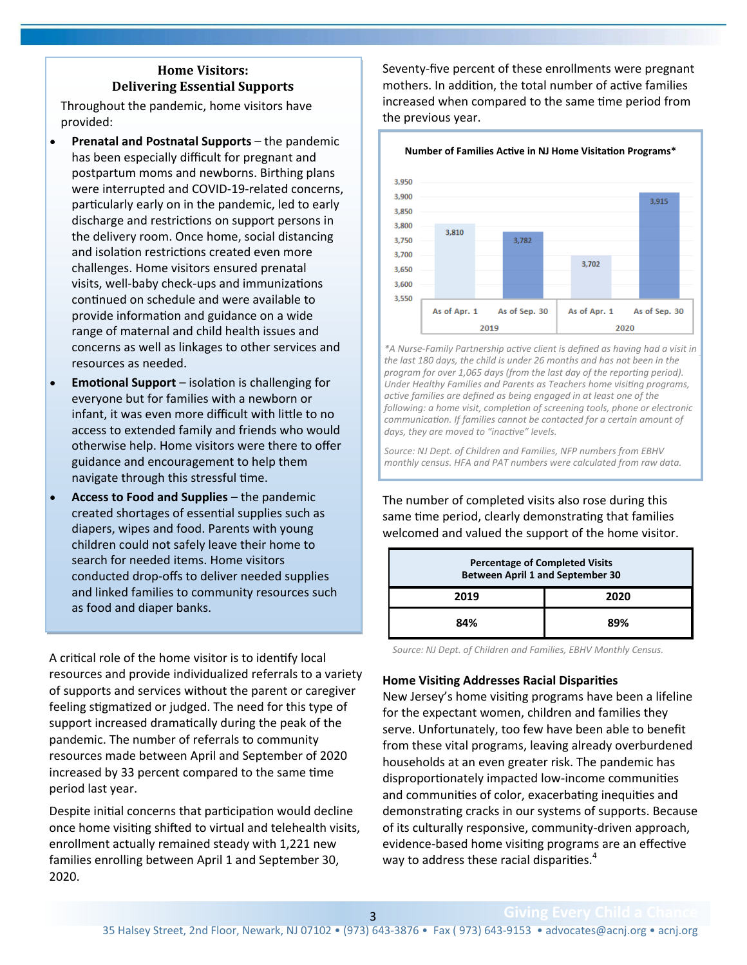## **Home Visitors: Delivering Essential Supports**

Throughout the pandemic, home visitors have provided:

- **Prenatal and Postnatal Supports the pandemic** has been especially difficult for pregnant and postpartum moms and newborns. Birthing plans were interrupted and COVID-19-related concerns, particularly early on in the pandemic, led to early discharge and restrictions on support persons in the delivery room. Once home, social distancing and isolation restrictions created even more challenges. Home visitors ensured prenatal visits, well-baby check-ups and immunizations continued on schedule and were available to provide information and guidance on a wide range of maternal and child health issues and concerns as well as linkages to other services and resources as needed.
- **Emotional Support**  isolation is challenging for everyone but for families with a newborn or infant, it was even more difficult with little to no access to extended family and friends who would otherwise help. Home visitors were there to offer guidance and encouragement to help them navigate through this stressful time.
- **Access to Food and Supplies**  the pandemic created shortages of essential supplies such as diapers, wipes and food. Parents with young children could not safely leave their home to search for needed items. Home visitors conducted drop-offs to deliver needed supplies and linked families to community resources such as food and diaper banks.

A critical role of the home visitor is to identify local resources and provide individualized referrals to a variety of supports and services without the parent or caregiver feeling stigmatized or judged. The need for this type of support increased dramatically during the peak of the pandemic. The number of referrals to community resources made between April and September of 2020 increased by 33 percent compared to the same time period last year.

Despite initial concerns that participation would decline once home visiting shifted to virtual and telehealth visits, enrollment actually remained steady with 1,221 new families enrolling between April 1 and September 30, 2020.

Seventy-five percent of these enrollments were pregnant mothers. In addition, the total number of active families increased when compared to the same time period from the previous year.



*\*A Nurse-Family Partnership active client is defined as having had a visit in the last 180 days, the child is under 26 months and has not been in the program for over 1,065 days (from the last day of the reporting period). Under Healthy Families and Parents as Teachers home visiting programs, active families are defined as being engaged in at least one of the following: a home visit, completion of screening tools, phone or electronic communication. If families cannot be contacted for a certain amount of days, they are moved to "inactive" levels.*

*Source: NJ Dept. of Children and Families, NFP numbers from EBHV monthly census. HFA and PAT numbers were calculated from raw data.*

The number of completed visits also rose during this same time period, clearly demonstrating that families welcomed and valued the support of the home visitor.

| <b>Percentage of Completed Visits</b><br><b>Between April 1 and September 30</b> |      |  |  |  |
|----------------------------------------------------------------------------------|------|--|--|--|
| 2019                                                                             | 2020 |  |  |  |
| 84%                                                                              | 89%  |  |  |  |

*Source: NJ Dept. of Children and Families, EBHV Monthly Census.*

#### **Home Visiting Addresses Racial Disparities**

New Jersey's home visiting programs have been a lifeline for the expectant women, children and families they serve. Unfortunately, too few have been able to benefit from these vital programs, leaving already overburdened households at an even greater risk. The pandemic has disproportionately impacted low-income communities and communities of color, exacerbating inequities and demonstrating cracks in our systems of supports. Because of its culturally responsive, community-driven approach, evidence-based home visiting programs are an effective way to address these racial disparities.<sup>4</sup>